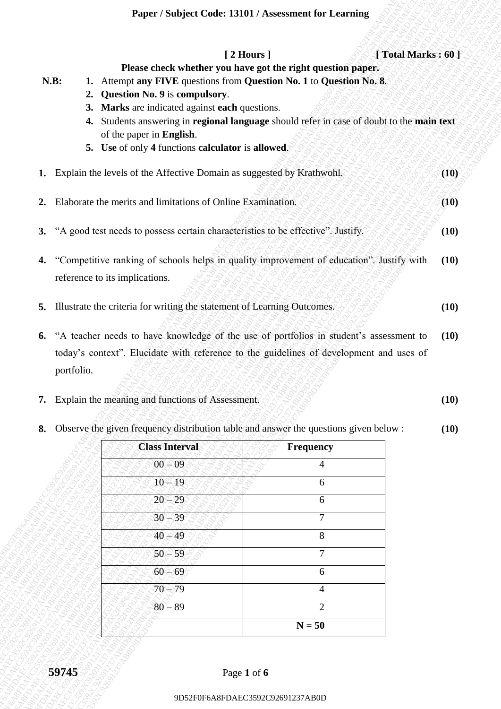| N.B:             | 2. Question No. 9 is compulsory.<br>3. Marks are indicated against each questions.<br>of the paper in English.<br>5. Use of only 4 functions calculator is allowed. | [2 Hours]<br>Please check whether you have got the right question paper.<br>1. Attempt any FIVE questions from Question No. 1 to Question No. 8.<br>4. Students answering in regional language should refer in case of doubt to the main text | [Total Marks: 60]            |
|------------------|---------------------------------------------------------------------------------------------------------------------------------------------------------------------|-----------------------------------------------------------------------------------------------------------------------------------------------------------------------------------------------------------------------------------------------|------------------------------|
|                  | 1. Explain the levels of the Affective Domain as suggested by Krathwohl.                                                                                            |                                                                                                                                                                                                                                               | (10)                         |
| 2.               | Elaborate the merits and limitations of Online Examination.                                                                                                         |                                                                                                                                                                                                                                               | (10)                         |
| 3.               | "A good test needs to possess certain characteristics to be effective". Justify.                                                                                    |                                                                                                                                                                                                                                               | (10)                         |
| 4.               |                                                                                                                                                                     | "Competitive ranking of schools helps in quality improvement of education". Justify with                                                                                                                                                      | (10)                         |
|                  | reference to its implications.                                                                                                                                      |                                                                                                                                                                                                                                               |                              |
| 6.<br>portfolio. | 5. Illustrate the criteria for writing the statement of Learning Outcomes.                                                                                          | "A teacher needs to have knowledge of the use of portfolios in student's assessment to<br>today's context". Elucidate with reference to the guidelines of development and uses of                                                             |                              |
| 8.               | 7. Explain the meaning and functions of Assessment.                                                                                                                 | Observe the given frequency distribution table and answer the questions given below :                                                                                                                                                         |                              |
|                  | <b>Class Interval</b>                                                                                                                                               | Frequency                                                                                                                                                                                                                                     |                              |
|                  | $00 - 09$                                                                                                                                                           | 4                                                                                                                                                                                                                                             |                              |
|                  | $10 - 19$                                                                                                                                                           | 6                                                                                                                                                                                                                                             |                              |
|                  | $20 - 29$                                                                                                                                                           | 6                                                                                                                                                                                                                                             |                              |
|                  | $30 - 39$                                                                                                                                                           | 7                                                                                                                                                                                                                                             |                              |
|                  | $40 - 49$                                                                                                                                                           | 8                                                                                                                                                                                                                                             |                              |
|                  | $50 - 59$                                                                                                                                                           | $\overline{7}$                                                                                                                                                                                                                                |                              |
|                  | $60 - 69$                                                                                                                                                           | 6                                                                                                                                                                                                                                             |                              |
|                  | $70 - 79$                                                                                                                                                           | 4                                                                                                                                                                                                                                             |                              |
|                  | $80 - 89$                                                                                                                                                           | $\overline{2}$<br>$N = 50$                                                                                                                                                                                                                    | (10)<br>(10)<br>(10)<br>(10) |

## **8.** Observe the given frequency distribution table and answer the questions given below : **(10)**

| <b>Class Interval</b> | Frequency      |
|-----------------------|----------------|
| $00 - 09$             | 4              |
| $10 - 19$             | 6              |
| 20<br>- 29            | 6              |
| $30 - 39$             | 7              |
| $40 - 49$             | 8              |
| $50 - 59$             | $\overline{7}$ |
| $60 - 69$             | 6              |
| $70 - 79$             | 4              |
| $80 - 89$             | $\overline{2}$ |
|                       | $N = 50$       |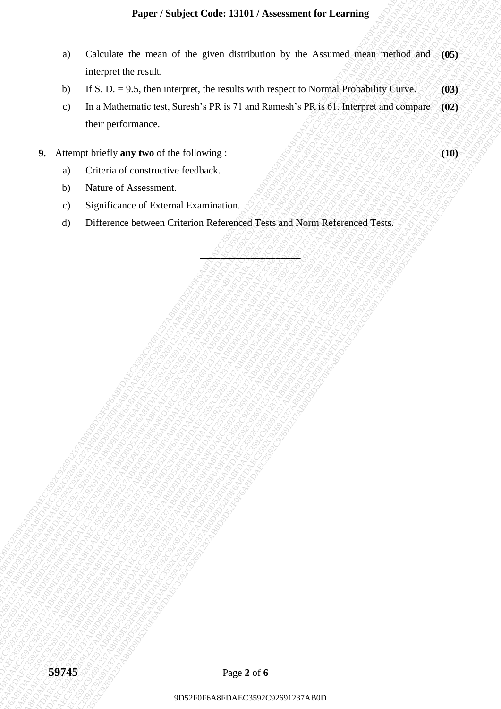## **Paper / Subject Code: 13101 / Assessment for Learning**

- a) Calculate the mean of the given distribution by the Assumed mean method and interpret the result. **(05)**
- b) If S. D. = 9.5, then interpret, the results with respect to Normal Probability Curve. **(03)**
- 9) Calculate for mean of the given distribution by the Assumed main method and (05) interpret the result.<br>
0) IE A 3 = 9.3. About interpret, the results with respect to Nexand Probability Charses<br>
(a) IE A 2 = 9. About int 9D Calculate the account of the given dissistance by the Assumed method such and infinite and particular temperature and Afores and Afores and Afores (2003)<br>
9D F6. D. 29 S. Development, the results with 1976 or 70 and Ram 9D52F0F6A8FDAEC3592C92691237AB0D9D52F0F6A8FDAEC3592C92691237AB0D9D52F0F6A8FDAEC3592C92691237AB0D9D52F0F6A8FDAEC3592C92691237AB0D9D52F0F6A8FDAEC3592C92691237AB0D9D52F0F6A8FDAEC3592C92691237AB0D Paper / Subject Code: 1300 / Assessment for Learning<br>
10 Calculus the noral of the given distribution by the Assumed param motion data (195)<br>
by Harper the reach calculus (196, 200)<br>
115 AD-1953. Notes (Alcohorning .<br>
107 Paper / Studyet Code: 13393 / Assessment for Learning<br>
9D Calculate the word of the given distribution by the Acumal Probability Care<br>
9D DECS 10 = 93. Guarning the results with respect to Portual Probability Care<br>
9D For 9D627 FSubject Code: 13401 Varsessment for Learning<br>
2) Calculates the means of the chiracters for means of the chiracters of the chiracter of the means of the chiracters of the chiracters of the chiracters of the chiract Proper / Substitute Code 13101/ Assessment for Learning<br>
9D Calculates the mean of the gave distribution by the Assumed Society and Capacitan in the Capacitan of Capa<br>
9D LET S. Desiminates the Schwartz Harvard Schwartz (C Proper Shohyer Code L3VM / Assessment for Learning<br>
9D Calculates the main of the given distribution by the Assument distribution of the mail of the STAB of the STAB of the main of the main of the stab of the stab of the s Proper Shohyer Code L3VM / Assessment for Learning<br>
9D Calculates the main of the given distribution by the Assument distribution of the mail of the STAB of the STAB of the main of the main of the stab of the stab of the s Proper Shohyer Code L3VM / Assessment for Learning<br>
9D Calculates the main of the given distribution by the Assument distribution of the mail of the STAB of the STAB of the main of the main of the stab of the stab of the s Proper Shohyer Code L3VM / Assessment for Learning<br>
9D Calculates the main of the given distribution by the Assument distribution of the mail of the STAB of the STAB of the main of the main of the stab of the stab of the s Proper Shohyer Code L3VM / Assessment for Learning<br>
9D Calculates the main of the given distribution by the Assument distribution of the mail of the STAB of the STAB of the main of the main of the stab of the stab of the s Paper / Sendyr Cord-133101 / Assessment for Learning<br>
42 Catoline the racial of the result.<br>
123 D. = 9.5. then himitaged. he result.<br>
123 D. = 9.5. then himiagn the results with respect to Normal Postability Corea.<br>
133 D Paper / Sindylet Code: 13391 / Assessment for Learning<br>
9D Calculati the mean of the given distribution by the Assessment indian method and OSS<br>
10 St 592 - 23, the bistopre che cannot<br>
9D A Lateraty Universe Section 29: 1 Paper / Subject Code: 1390 1/ Associate for Learning<br>
9) Calculate the conton of the given distribution by the Assument policies and the Code and Case of the Case of the Case of the Case of the Case of the Case of the Case Paper / Nedipet Octobe 13901 / Associated for Learning<br>
a) Calculate be recard of the greater institution by the counter resident must method and (05)<br>
by C9. Box 0.4.0.1 minimizes, the method with transport in Paris (3) Paper / Studyact Civice 137001 / Newsament for Learning<br>
0 Calculate the new the study of the present of the study of the study of the study of the study of the study of the study of the study of the study of the study of Puper / Startjert Code: ISIN / Assessment for Learning<br>
4) Calculates the mean of the phoen distribution by the Assessment migran mechanical of the<br>
10 In Mathematics text, Successive with the sequence in National Universi Punper / Sunbject Code: 1310 / Assessment for Fearming<br>
9D Calculate the costal area of the given the costal with respect to Poussial Poloidability Careter (8)<br>
9D Calculate the second in Pick in respect to Poloidability C Paper / Soubjett Code: 13001 / Associated for Locating<br>
3D Calculate the result of the process that which the process the Poster and the result of the state of the result<br>
by I.G.D. and an integration between the results c) In a Mathematic test, Suresh's PR is 71 and Ramesh's PR is 61. Interpret and compare their performance. **(02)**
	- **9.** Attempt briefly any two of the following :  $\mathcal{L}(\mathcal{L}(\mathcal{L})) \cong \mathcal{L}(\mathcal{L}(\mathcal{L})) \cong \mathcal{L}(\mathcal{L}(\mathcal{L})) \cong \mathcal{L}(\mathcal{L}(\mathcal{L}))$ 
		- a) Criteria of constructive feedback.
		- b) Nature of Assessment.
		- c) Significance of External Examination.
		- d) Difference between Criterion Referenced Tests and Norm Referenced Tests.

**\_\_\_\_\_\_\_\_\_\_\_\_\_\_\_\_\_\_\_\_**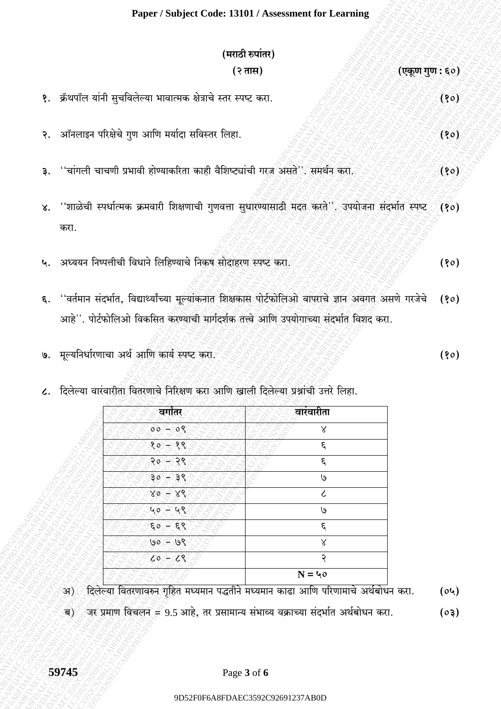## Paper / Subject Code: 13101 / Assessment for Learning

|    | (मराठी रुपांतर)                                                                                                                                                                                   |      |
|----|---------------------------------------------------------------------------------------------------------------------------------------------------------------------------------------------------|------|
|    | (२ तास)<br>(एकूण गुण : ६०)                                                                                                                                                                        |      |
|    | १. क्रॅथपॉल यांनी सुचविलेल्या भावात्मक क्षेत्राचे स्तर स्पष्ट करा.                                                                                                                                | (80) |
|    | २. ऑनलाइन परिक्षेचे गुण आणि मर्यादा सविस्तर लिहा.                                                                                                                                                 | (80) |
|    | ''चांगली चाचणी प्रभावी होण्याकरिता काही वैशिष्ट्यांची गरज असते''. समर्थन करा.                                                                                                                     | (१०) |
|    | ४. ''शाळेची स्पर्धात्मक क्रमवारी शिक्षणाची गुणवत्ता सुधारण्यासाठी मदत करते''. उपयोजना संदर्भात स्पष्ट<br>करा.                                                                                     | (80) |
|    | ५. अध्ययन निष्पत्तीची विधाने लिहिण्याचे निकुष सोदाहरण स्पष्ट करा.                                                                                                                                 | (90) |
|    | ६. ''वर्तमान संदर्भात, विद्यार्थ्यांच्या मूल्यांकनात शिक्षकास पोर्टफोलिओ वापराचे ज्ञान अवगत असणे गरजेचे<br>आहे''. पोर्टफोलिओ विकसित करण्याची मार्गदर्शक तत्त्वे आणि उपयोगाच्या संदर्भात विशद करा. | (80) |
| ७. | मूल्यनिर्धारणाचा अर्थ आणि कार्य स्पष्ट करा.                                                                                                                                                       | (१०) |

८. दिलेल्या वारंवारीता वितरणाचे निरिक्षण करा आणि खाली दिलेल्या प्रश्नांची उत्तरे लिहा.

| वगातर                     | वारंवारीता |
|---------------------------|------------|
| $-08$<br>$00-$            | Χ          |
| −्१९<br>$80^{\circ}$      | $\epsilon$ |
| २०<br>२९                  | $\epsilon$ |
| $30^\circ$<br>⊛ ३९        | ७          |
| $X\mathcal{E}$<br>$X_0 =$ | $\epsilon$ |
| 48<br>$40^{\circ}$        | ७          |
| 59<br>্হ ৎ                | $\epsilon$ |
| $90 - 68$                 | Χ          |
| $60 - 68$                 | २          |
|                           | $N = 40$   |

 $(04)$ 

 $(50)$ 

्ब) ्जर प्रमाण विचलन = 9.5 आहे, तर प्रसामान्य संभाव्य वक्राच्या संदर्भात अर्थबोधन करा.

अ)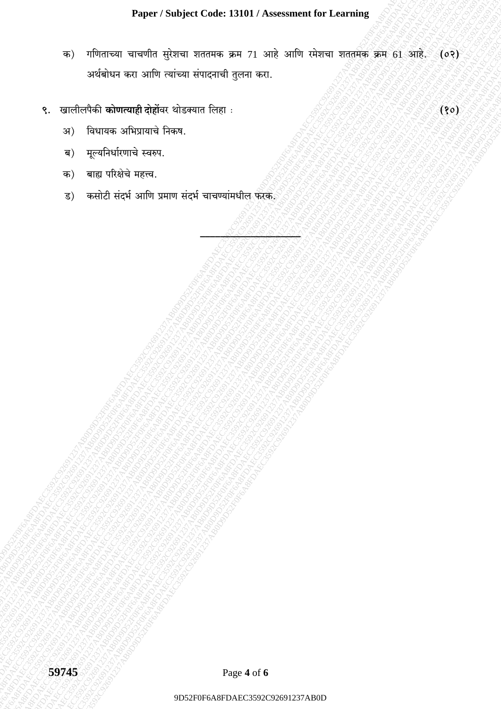गणिताच्या चाचणीत सुरेशचा शततमक क्रम 71 आहे आणि रमेशचा शततमक क्रम 61 आहे. (०२) क) अर्थबोधन करा आणि त्यांच्या संपादनाची तुलना करा.

 $(80)$ 

- ९. खालीलपैकी **कोणत्याही दोहों**वर थोडक्यात लिहा :
	- विधायक अभिप्रायाचे निकष. अ)
	- मूल्यनिर्धारणाचे स्वरुप. ब)
	- क) बाह्य परिक्षेचे महत्त्व.
	- ्<br>कसोटी संदर्भ आणि प्रमाण संदर्भ चाचण्यांमधील फरक ड)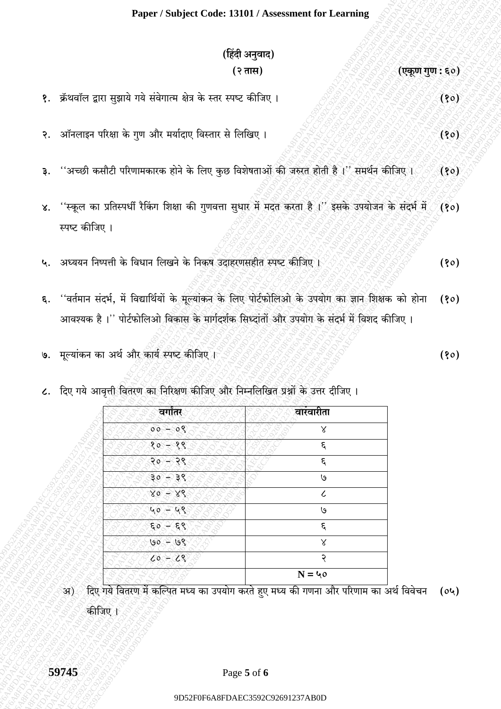## Paper / Subject Code: 13101 / Assessment for Learning

|                 | (हिंदी अनुवाद)                                                                                                                                                                                        |      |
|-----------------|-------------------------------------------------------------------------------------------------------------------------------------------------------------------------------------------------------|------|
|                 | (२ तास)<br>(एकूण गुण : ६०)                                                                                                                                                                            |      |
|                 | १.  क्रॅथवॉल द्वारा सुझाये गये संवेगात्म क्षेत्र के स्तर स्पष्ट कीजिए ।                                                                                                                               | (90) |
|                 | २. ऑनलाइन परिक्षा के गुण और मर्यादाए विस्तार से लिखिए ।                                                                                                                                               | (80) |
|                 | ३. ''अच्छी कसौटी परिणामकारक होने के लिए कुछ विशेषताओं की जरुरत होती है ।'' समर्थन कीजिए ।                                                                                                             | (80) |
|                 | ४. ''स्कूल का प्रतिस्पर्धी रैकिंग शिक्षा की गुणवत्ता सुधार में मदत करता है ।'' इसके उपयोजन के संदर्भ में<br>स्पष्ट कीजिए ।                                                                            | (80) |
|                 | ५.  अध्ययन निष्पत्ती के विधान लिखने के निकष उदाहरणसहीत स्पष्ट कीजिए ।                                                                                                                                 | (90) |
|                 | ६. ''वर्तमान संदर्भ, में विद्यार्थियों के मूल्यांकन के लिए पोर्टफोलिओ के उपयोग का ज्ञान शिक्षक को होना<br>आवश्यक है ।'' पोर्टफोलिओ विकास के मार्गदर्शक सिध्दांतों और उपयोग के संदर्भ में विशद कीजिए । | (90) |
|                 | ७. मूल्यांकन का अर्थ और कार्य स्पष्ट कीजिए ।                                                                                                                                                          | (90) |
| $\mathcal{L}$ . | दिए गये आवृत्ती वितरण का निरिक्षण कीजिए और निम्नलिखित प्रश्नों के उत्तर दीजिए ।                                                                                                                       |      |

| वर्गांतर                                 | <u>.<br/>वारंवारीता</u> |
|------------------------------------------|-------------------------|
| 08<br>0 <sup>o</sup>                     | $\mathsf{X}$            |
| १०<br>१९                                 | $\mathcal{E}$           |
| 20<br>۰o                                 | $\boldsymbol{\xi}$      |
| 30<br>३९                                 | ७                       |
| 80 <sub>o</sub><br>४९<br>e               | $\mathcal C$            |
| $\mathcal{L}_{\left( 0\right) }$<br>G.R. | ७                       |
| 60<br>६९                                 | $\mathcal{E}$           |
| 198<br>$\overline{\mathsf{SO}}$          | $\mathsf{X}$            |
| $-25$<br>co                              | २                       |
|                                          | $N = 40$                |

हिए गये वितरण में कल्पित मध्य का उपयोग करते हुए मध्य की गणना और परिणाम का अर्थ विवेचन (०५) े अ ्<br>कीजिए ।